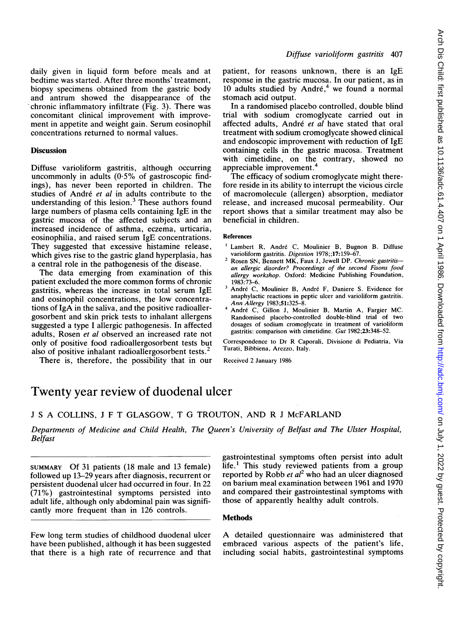daily given in liquid form before meals and at bedtime was started. After three months' treatment, biopsy specimens obtained from the gastric body and antrum showed the disappearance of the chronic inflammatory infiltrate (Fig. 3). There was concomitant clinical improvement with improvement in appetite and weight gain. Serum eosinophil concentrations returned to normal values.

## **Discussion**

Diffuse varioliform gastritis, although occurring uncommonly in adults  $(0.5\%$  of gastroscopic findings), has never been reported in children. The studies of André et al in adults contribute to the understanding of this lesion.<sup>3</sup> These authors found large numbers of plasma cells containing IgE in the gastric mucosa of the affected subjects and an increased incidence of asthma, eczema, urticaria, eosinophilia, and raised serum IgE concentrations. They suggested that excessive histamine release, which gives rise to the gastric gland hyperplasia, has a central role in the pathogenesis of the disease.

The data emerging from examination of this patient excluded the more common forms of chronic gastritis, whereas the increase in total serum IgE and eosinophil concentrations, the low concentrations of IgA in the saliva, and the positive radioallergosorbent and skin prick tests to inhalant allergens suggested a type <sup>I</sup> allergic pathogenesis. In affected adults, Rosen et al observed an increased rate not only of positive food radioallergosorbent tests but also of positive inhalant radioallergosorbent tests.<sup>2</sup>

There is, therefore, the possibility that in our

patient, for reasons unknown, there is an IgE response in the gastric mucosa. In our patient, as in 10 adults studied by André, $4 \le$  we found a normal stomach acid output.

In a randomised placebo controlled, double blind trial with sodium cromoglycate carried out in affected adults, André et al have stated that oral treatment with sodium cromoglycate showed clinical and endoscopic improvement with reduction of IgE containing cells in the gastric mucosa. Treatment with cimetidine, on the contrary, showed no appreciable improvement.4

The efficacy of sodium cromoglycate might therefore reside in its ability to interrupt the vicious circle of macromolecule (allergen) absorption, mediator release, and increased mucosal permeability. Our report shows that a similar treatment may also be beneficial in children.

## References

- <sup>1</sup> Lambert R, André C, Moulinier B, Bugnon B. Diffuse varioliform gastritis. Digestion 1978;;17:159-67.
- <sup>2</sup> Rosen SN, Bennett MK, Faux J, Jewell DP. Chronic gastritisan allergic disorder? Proceedings of the second Fisons food allergy workshop. Oxford: Medicine Publishing Foundation, 1983:73-6.
- André C, Moulinier B, André F, Daniere S. Evidence for anaphylactic reactions in peptic ulcer and varioliform gastritis. Ann Allergy 1983;51:325-8.
- <sup>4</sup> Andre C, Gillon J, Moulinier B, Martin A, Fargier MC. Randomised placebo-controlled double-blind trial of two dosages of sodium cromoglycate in treatment of varioliform gastritis: comparison with cimetidine. Gut 1982;23:348-52.

Correspondence to Dr R Caporali, Divisione di Pediatria, Via Turati, Bibbiena, Arezzo, Italy.

Received 2 January 1986

# Twenty year review of duodenal ulcer

<sup>J</sup> <sup>S</sup> A COLLINS, <sup>J</sup> F T GLASGOW, T G TROUTON, AND R <sup>J</sup> McFARLAND

Departments of Medicine and Child Health, The Queen's University of Belfast and The Ulster Hospital, Belfast

SUMMARY Of 31 patients (18 male and 13 female) followed up 13-29 years after diagnosis, recurrent or persistent duodenal ulcer had occurred in four. In 22 (71%) gastrointestinal symptoms persisted into adult life, although only abdominal pain was significantly more frequent than in 126 controls.

Few long term studies of childhood duodenal ulcer have been published, although it has been suggested that there is a high rate of recurrence and that gastrointestinal symptoms often persist into adult  $life.$ <sup>1</sup> This study reviewed patients from a group reported by Robb et  $al^2$  who had an ulcer diagnosed on barium meal examination between 1961 and 1970 and compared their gastrointestinal symptoms with those of apparently healthy adult controls.

# **Methods**

A detailed questionnaire was administered that embraced various aspects of the patient's life, including social habits, gastrointestinal symptoms